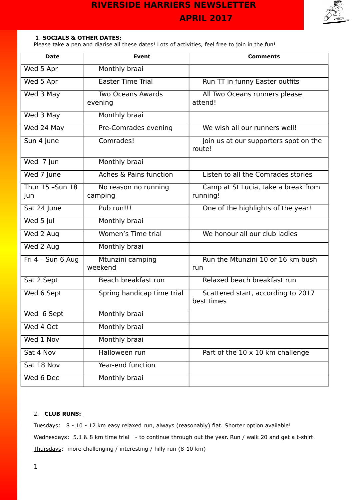

#### 1. **SOCIALS & OTHER DATES:**

Please take a pen and diarise all these dates! Lots of activities, feel free to join in the fun!

| <b>Date</b>             | <b>Event</b>                        | <b>Comments</b>                                  |
|-------------------------|-------------------------------------|--------------------------------------------------|
| Wed 5 Apr               | Monthly braai                       |                                                  |
| Wed 5 Apr               | <b>Easter Time Trial</b>            | Run TT in funny Easter outfits                   |
| Wed 3 May               | <b>Two Oceans Awards</b><br>evening | All Two Oceans runners please<br>attend!         |
| Wed 3 May               | Monthly braai                       |                                                  |
| Wed 24 May              | Pre-Comrades evening                | We wish all our runners well!                    |
| Sun 4 June              | Comrades!                           | Join us at our supporters spot on the<br>route!  |
| Wed 7 Jun               | Monthly braai                       |                                                  |
| Wed 7 June              | Aches & Pains function              | Listen to all the Comrades stories               |
| Thur 15 - Sun 18<br>Jun | No reason no running<br>camping     | Camp at St Lucia, take a break from<br>running!  |
| Sat 24 June             | Pub run!!!                          | One of the highlights of the year!               |
| Wed 5 Jul               | Monthly braai                       |                                                  |
| Wed 2 Aug               | Women's Time trial                  | We honour all our club ladies                    |
| Wed 2 Aug               | Monthly braai                       |                                                  |
| Fri 4 - Sun 6 Aug       | Mtunzini camping<br>weekend         | Run the Mtunzini 10 or 16 km bush<br>run         |
| Sat 2 Sept              | Beach breakfast run                 | Relaxed beach breakfast run                      |
| Wed 6 Sept              | Spring handicap time trial          | Scattered start, according to 2017<br>best times |
| Wed 6 Sept              | Monthly braai                       |                                                  |
| Wed 4 Oct               | Monthly braai                       |                                                  |
| Wed 1 Nov               | Monthly braai                       |                                                  |
| Sat 4 Nov               | Halloween run                       | Part of the 10 x 10 km challenge                 |
| Sat 18 Nov              | Year-end function                   |                                                  |
| Wed 6 Dec               | Monthly braai                       |                                                  |

#### 2. **CLUB RUNS:**

Tuesdays: 8 - 10 - 12 km easy relaxed run, always (reasonably) flat. Shorter option available! Wednesdays: 5.1 & 8 km time trial - to continue through out the year. Run / walk 20 and get a t-shirt. Thursdays: more challenging / interesting / hilly run (8-10 km)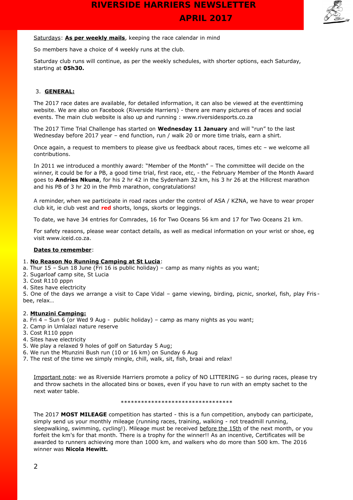

#### Saturdays: **As per weekly mails**, keeping the race calendar in mind

So members have a choice of 4 weekly runs at the club.

Saturday club runs will continue, as per the weekly schedules, with shorter options, each Saturday, starting at **05h30.**

#### 3. **GENERAL:**

The 2017 race dates are available, for detailed information, it can also be viewed at the eventtiming website. We are also on Facebook (Riverside Harriers) - there are many pictures of races and social events. The main club website is also up and running : www.riversidesports.co.za

The 2017 Time Trial Challenge has started on **Wednesday 11 January** and will "run" to the last Wednesday before 2017 year - end function, run / walk 20 or more time trials, earn a shirt.

Once again, a request to members to please give us feedback about races, times etc – we welcome all contributions.

In 2011 we introduced a monthly award: "Member of the Month" – The committee will decide on the winner, it could be for a PB, a good time trial, first race, etc, - the February Member of the Month Award goes to **Andries Nkuna**, for his 2 hr 42 in the Sydenham 32 km, his 3 hr 26 at the Hillcrest marathon and his PB of 3 hr 20 in the Pmb marathon, congratulations!

A reminder, when we participate in road races under the control of ASA / KZNA, we have to wear proper club kit, ie club vest and **red** shorts, longs, skorts or leggings.

To date, we have 34 entries for Comrades, 16 for Two Oceans 56 km and 17 for Two Oceans 21 km.

For safety reasons, please wear contact details, as well as medical information on your wrist or shoe, eg visit www.iceid.co.za.

#### **Dates to remember**:

#### 1. **No Reason No Running Camping at St Lucia**:

a. Thur 15 – Sun 18 June (Fri 16 is public holiday) – camp as many nights as you want;

- 2. Sugarloaf camp site, St Lucia
- 3. Cost R110 pppn
- 4. Sites have electricity

5. One of the days we arrange a visit to Cape Vidal – game viewing, birding, picnic, snorkel, fish, play Fris bee, relax…

#### 2. **Mtunzini Camping:**

- a. Fri 4 Sun 6 (or Wed 9 Aug public holiday) camp as many nights as you want;
- 2. Camp in Umlalazi nature reserve
- 3. Cost R110 pppn
- 4. Sites have electricity
- 5. We play a relaxed 9 holes of golf on Saturday 5 Aug;
- 6. We run the Mtunzini Bush run (10 or 16 km) on Sunday 6 Aug
- 7. The rest of the time we simply mingle, chill, walk, sit, fish, braai and relax!

Important note: we as Riverside Harriers promote a policy of NO LITTERING – so during races, please try and throw sachets in the allocated bins or boxes, even if you have to run with an empty sachet to the next water table.

#### \*\*\*\*\*\*\*\*\*\*\*\*\*\*\*\*\*\*\*\*\*\*\*\*\*\*\*\*\*\*\*\*\*

The 2017 **MOST MILEAGE** competition has started - this is a fun competition, anybody can participate, simply send us your monthly mileage (running races, training, walking - not treadmill running, sleepwalking, swimming, cycling!). Mileage must be received before the 15th of the next month, or you forfeit the km's for that month. There is a trophy for the winner!! As an incentive, Certificates will be awarded to runners achieving more than 1000 km, and walkers who do more than 500 km. The 2016 winner was **Nicola Hewitt.**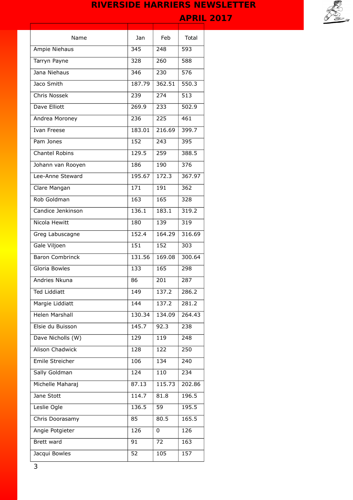

| Name                   | Jan    | Feb    | Total  |
|------------------------|--------|--------|--------|
| Ampie Niehaus          | 345    | 248    | 593    |
| Tarryn Payne           | 328    | 260    | 588    |
| Jana Niehaus           | 346    | 230    | 576    |
| Jaco Smith             | 187.79 | 362.51 | 550.3  |
| Chris Nossek           | 239    | 274    | 513    |
| Dave Elliott           | 269.9  | 233    | 502.9  |
| Andrea Moroney         | 236    | 225    | 461    |
| Ivan Freese            | 183.01 | 216.69 | 399.7  |
| Pam Jones              | 152    | 243    | 395    |
| <b>Chantel Robins</b>  |        |        | 388.5  |
|                        | 129.5  | 259    |        |
| Johann van Rooyen      | 186    | 190    | 376    |
| Lee-Anne Steward       | 195.67 | 172.3  | 367.97 |
| Clare Mangan           | 171    | 191    | 362    |
| Rob Goldman            | 163    | 165    | 328    |
| Candice Jenkinson      | 136.1  | 183.1  | 319.2  |
| Nicola Hewitt          | 180    | 139    | 319    |
| Greg Labuscagne        | 152.4  | 164.29 | 316.69 |
| Gale Viljoen           | 151    | 152    | 303    |
| <b>Baron Combrinck</b> | 131.56 | 169.08 | 300.64 |
| Gloria Bowles          | 133    | 165    | 298    |
| Andries Nkuna          | 86     | 201    | 287    |
| Ted Liddiatt           | 149    | 137.2  | 286.2  |
| Margie Liddiatt        | 144    | 137.2  | 281.2  |
| <b>Helen Marshall</b>  | 130.34 | 134.09 | 264.43 |
| Elsie du Buisson       | 145.7  | 92.3   | 238    |
| Dave Nicholls (W)      | 129    | 119    | 248    |
| <b>Alison Chadwick</b> | 128    | 122    | 250    |
| Emile Streicher        | 106    | 134    | 240    |
| Sally Goldman          | 124    | 110    | 234    |
| Michelle Maharaj       | 87.13  | 115.73 | 202.86 |
| Jane Stott             | 114.7  | 81.8   | 196.5  |
| Leslie Ogle            | 136.5  | 59     | 195.5  |
| Chris Doorasamy        | 85     | 80.5   | 165.5  |
| Angie Potgieter        | 126    | 0      | 126    |
| Brett ward             | 91     | 72     | 163    |
| Jacqui Bowles          | 52     | 105    | 157    |
|                        |        |        |        |
| 3                      |        |        |        |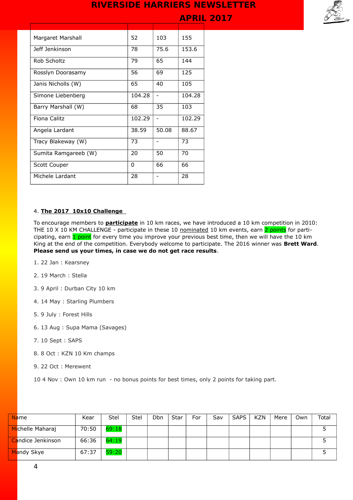**APRIL 2017** 



| Margaret Marshall    | 52     | 103   | 155    |
|----------------------|--------|-------|--------|
| leff lenkinson       | 78     | 75.6  | 153.6  |
| Rob Scholtz          | 79     | 65    | 144    |
| Rosslyn Doorasamy    | 56     | 69    | 125    |
| Janis Nicholls (W)   | 65     | 40    | 105    |
| Simone Liebenberg    | 104.28 |       | 104.28 |
| Barry Marshall (W)   | 68     | 35    | 103    |
| <b>Fiona Calitz</b>  | 102.29 |       | 102.29 |
| Angela Lardant       | 38.59  | 50.08 | 88.67  |
| Tracy Blakeway (W)   | 73     |       | 73     |
| Sumita Ramgareeb (W) | 20     | 50    | 70     |
| Scott Couper         | 0      | 66    | 66     |
| Michele Lardant      | 28     |       | 28     |

#### 4. **The 2017 10x10 Challenge**

To encourage members to **participate** in 10 km races, we have introduced a 10 km competition in 2010: THE 10 X 10 KM CHALLENGE - participate in these 10 nominated 10 km events, earn 2 points for participating, earn  $\frac{1}{1}$  point for every time you improve your previous best time, then we will have the 10 km King at the end of the competition. Everybody welcome to participate. The 2016 winner was **Brett Ward**. **Please send us your times, in case we do not get race results**.

- 1. 22 Jan : Kearsney
- 2. 19 March : Stella
- 3. 9 April : Durban City 10 km
- 4. 14 May : Starling Plumbers
- 5. 9 July : Forest Hills
- 6. 13 Aug : Supa Mama (Savages)
- 7. 10 Sept : SAPS
- 8. 8 Oct : KZN 10 Km champs
- 9. 22 Oct : Merewent

10 4 Nov : Own 10 km run - no bonus points for best times, only 2 points for taking part.

| <b>Na</b> me             | Kear  | Stel  | Stel | <b>Dbn</b> | <b>Star</b> | For | Sav | SAPS | <b>KZN</b> | Mere | Own | Total |
|--------------------------|-------|-------|------|------------|-------------|-----|-----|------|------------|------|-----|-------|
| Michelle Maharaj         | 70:50 | 69:18 |      |            |             |     |     |      |            |      |     |       |
| <b>Candice Jenkinson</b> | 66:36 | 64:19 |      |            |             |     |     |      |            |      |     |       |
| Mandy Skye               | 67:37 | 59:20 |      |            |             |     |     |      |            |      |     |       |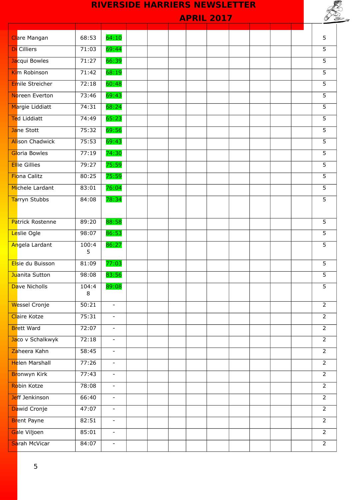| Clare Mangan           | 68:53      | 64:10                    |  |  |  |  | 5               |
|------------------------|------------|--------------------------|--|--|--|--|-----------------|
| <b>Di</b> Cilliers     | 71:03      | 69:44                    |  |  |  |  | 5               |
| Jacqui Bowles          | 71:27      | 66:39                    |  |  |  |  | $\overline{5}$  |
| <b>Kim Robinson</b>    | 71:42      | 68:19                    |  |  |  |  | $\overline{5}$  |
| Emile Streicher        | 72:18      | 60:48                    |  |  |  |  | $\overline{5}$  |
| Noreen Everton         | 73:46      | 69:43                    |  |  |  |  | $\overline{5}$  |
| Margie Liddiatt        | 74:31      | 68:24                    |  |  |  |  | $\overline{5}$  |
| <b>Ted Liddiatt</b>    | 74:49      | 65:23                    |  |  |  |  | $\overline{5}$  |
| Jane Stott             | 75:32      | 69:56                    |  |  |  |  | $\overline{5}$  |
| <b>Alison Chadwick</b> | 75:53      | 69:43                    |  |  |  |  | $\overline{5}$  |
| <b>Gloria Bowles</b>   | 77:19      | 74:30                    |  |  |  |  | $\overline{5}$  |
| <b>Ellie Gillies</b>   | 79:27      | 75:59                    |  |  |  |  | 5               |
| <b>Fiona Calitz</b>    | 80:25      | 75:59                    |  |  |  |  | $\overline{5}$  |
| Michele Lardant        | 83:01      | 76:04                    |  |  |  |  | 5               |
| Tarryn Stubbs          | 84:08      | 78:34                    |  |  |  |  | 5               |
|                        |            |                          |  |  |  |  |                 |
| Patrick Rostenne       | 89:20      | 88:58                    |  |  |  |  | $\overline{5}$  |
| Leslie Ogle            | 98:07      | 86:53                    |  |  |  |  | $\overline{5}$  |
| Angela Lardant         | 100:4<br>5 | 86:27                    |  |  |  |  | 5               |
| Elsie du Buisson       | 81:09      | 77:03                    |  |  |  |  | $5\overline{)}$ |
| Juanita Sutton         | 98:08      | 83:56                    |  |  |  |  | $\overline{5}$  |
| Dave Nicholls          | 104:4<br>8 | 89:08                    |  |  |  |  | 5               |
| Wessel Cronje          | 50:21      | $\overline{\phantom{a}}$ |  |  |  |  | $\overline{2}$  |
| Claire Kotze           | 75:31      | $\overline{\phantom{a}}$ |  |  |  |  | $\overline{2}$  |
| <b>Brett Ward</b>      | 72:07      | $\overline{\phantom{a}}$ |  |  |  |  | $\overline{2}$  |
| Jaco v Schalkwyk       | 72:18      |                          |  |  |  |  | $\overline{2}$  |
| Zaheera Kahn           | 58:45      | $\overline{\phantom{a}}$ |  |  |  |  | $\overline{2}$  |
| <b>Helen Marshall</b>  | 77:26      | $\overline{\phantom{a}}$ |  |  |  |  | $\overline{2}$  |
| <b>Bronwyn Kirk</b>    | 77:43      | $\overline{\phantom{a}}$ |  |  |  |  | $\overline{2}$  |
| Robin Kotze            | 78:08      | $\overline{\phantom{a}}$ |  |  |  |  | $\overline{2}$  |
| Jeff Jenkinson         | 66:40      | $\overline{\phantom{a}}$ |  |  |  |  | $\overline{2}$  |
| Dawid Cronje           | 47:07      | $\blacksquare$           |  |  |  |  | $\overline{2}$  |
| <b>Brent Payne</b>     | 82:51      | $\overline{\phantom{a}}$ |  |  |  |  | $\overline{2}$  |
| Gale Viljoen           | 85:01      | $\overline{\phantom{a}}$ |  |  |  |  | $\overline{2}$  |
| Sarah McVicar          | 84:07      | $\overline{\phantom{a}}$ |  |  |  |  | $\overline{2}$  |
|                        |            |                          |  |  |  |  |                 |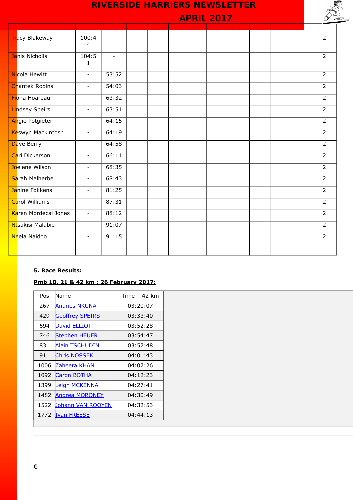| <b>RIVERSIDE HARRIERS NEWSLETTER</b> |                          |                          |  |  |  |  |  |  |                |  |
|--------------------------------------|--------------------------|--------------------------|--|--|--|--|--|--|----------------|--|
| <b>APRIL 2017</b>                    |                          |                          |  |  |  |  |  |  |                |  |
|                                      |                          |                          |  |  |  |  |  |  |                |  |
| <b>Tracy Blakeway</b>                | 100:4<br>$\overline{4}$  |                          |  |  |  |  |  |  | $\overline{2}$ |  |
| Janis Nicholls                       | 104:5<br>$\mathbf{1}$    | $\overline{\phantom{a}}$ |  |  |  |  |  |  | $\overline{2}$ |  |
| Nicola Hewitt                        | $\mathbf{r}$             | 53:52                    |  |  |  |  |  |  | $\overline{2}$ |  |
| <b>Chantek Robins</b>                | $\overline{\phantom{a}}$ | 54:03                    |  |  |  |  |  |  | $\overline{2}$ |  |
| <b>Fiona Hoareau</b>                 | $\equiv$                 | 63:32                    |  |  |  |  |  |  | $\overline{2}$ |  |
| <b>Lindsey Speirs</b>                | $\overline{\phantom{a}}$ | 63:51                    |  |  |  |  |  |  | $\overline{2}$ |  |
| <b>Angie Potgieter</b>               | $\overline{\phantom{a}}$ | 64:15                    |  |  |  |  |  |  | $\overline{2}$ |  |
| <b>Keswyn Mackintosh</b>             | $\overline{\phantom{a}}$ | 64:19                    |  |  |  |  |  |  | $\overline{2}$ |  |
| Dave Berry                           | $\sim$                   | 64:58                    |  |  |  |  |  |  | $\overline{2}$ |  |
| Cari Dickerson                       | $\blacksquare$           | 66:11                    |  |  |  |  |  |  | $\overline{2}$ |  |
| Joelene Wilson                       | $\overline{\phantom{a}}$ | 68:35                    |  |  |  |  |  |  | $\overline{2}$ |  |
| Sarah Malherbe                       | $\sim$                   | 68:43                    |  |  |  |  |  |  | $\overline{2}$ |  |
| Janine Fokkens                       | $\overline{\phantom{a}}$ | 81:25                    |  |  |  |  |  |  | $\overline{2}$ |  |
| <b>Carol Williams</b>                | $\overline{\phantom{a}}$ | 87:31                    |  |  |  |  |  |  | $\overline{2}$ |  |
| Karen Mordecai Jones                 | $\blacksquare$           | 88:12                    |  |  |  |  |  |  | $\overline{2}$ |  |
| Ntsakisi Malabie                     | $\overline{\phantom{a}}$ | 91:07                    |  |  |  |  |  |  | $\overline{2}$ |  |
| Neela Naidoo                         | $\blacksquare$           | 91:15                    |  |  |  |  |  |  | $\overline{2}$ |  |

### **5. Race Results:**

#### **Pmb 10, 21 & 42 km : 26 February 2017:**

| Pos  | Name                   | Time – 42 km |
|------|------------------------|--------------|
| 267  | Andries NKUNA          | 03:20:07     |
| 429  | <b>Geoffrey SPEIRS</b> | 03:33:40     |
| 694  | David ELLIOTT          | 03:52:28     |
| 746  | <b>Stephen HEUER</b>   | 03:54:47     |
| 831  | Alain TSCHUDIN         | 03:57:48     |
| 911  | <b>Chris NOSSEK</b>    | 04:01:43     |
| 1006 | Zaheera KHAN           | 04:07:26     |
| 1092 | Caron BOTHA            | 04:12:23     |
| 1399 | Leigh MCKENNA          | 04:27:41     |
| 1482 | Andrea MORONEY         | 04:30:49     |
| 1522 | Dohann VAN ROOYEN      | 04:32:53     |
| 1772 | <b>Ivan FREESE</b>     | 04:44:13     |
|      |                        |              |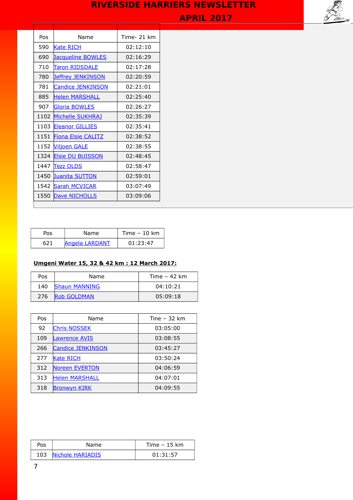

| Pos  | Name                     | Time- 21 km |
|------|--------------------------|-------------|
| 590  | Kate RICH                | 02:12:10    |
| 690  | <b>Jacqueline BOWLES</b> | 02:16:29    |
| 710  | Taron RIDSDALE           | 02:17:28    |
| 780  | <b>Jeffrey JENKINSON</b> | 02:20:59    |
| 781  | <b>Candice JENKINSON</b> | 02:21:01    |
| 885  | Helen MARSHALL           | 02:25:40    |
| 907  | Gloria BOWLES            | 02:26:27    |
| 1102 | <b>Michelle SUKHRAJ</b>  | 02:35:39    |
| 1103 | <b>Eleanor GILLIES</b>   | 02:35:41    |
| 1151 | Fiona Elsie CALITZ       | 02:38:52    |
| 1152 | <b>Viljoen GALE</b>      | 02:38:55    |
| 1324 | <b>Elsie DU BUISSON</b>  | 02:48:45    |
| 1447 | <b>Tezz OLDS</b>         | 02:58:47    |
| 1450 | <b>Juanita SUTTON</b>    | 02:59:01    |
| 1542 | <b>Sarah MCVICAR</b>     | 03:07:49    |
| 1550 | Dave NICHOLLS            | 03:09:06    |

| Pos | Name           | Time $-10$ km |
|-----|----------------|---------------|
|     | Angela LARDANT | 01:23:47      |

#### **Umgeni Water 15, 32 & 42 km : 12 March 2017:**

| Pos | Name                 | Time $-42$ km |
|-----|----------------------|---------------|
| 140 | <b>Shaun MANNING</b> | 04:10:21      |
| 276 | <b>Rob GOLDMAN</b>   | 05:09:18      |

| Pos | Name                  | Tine $-32$ km |
|-----|-----------------------|---------------|
| 92  | Chris NOSSEK          | 03:05:00      |
| 109 | <b>Lawrence AVIS</b>  | 03:08:55      |
| 266 | Candice JENKINSON     | 03:45:27      |
| 277 | Kate RICH             | 03:50:24      |
| 312 | <b>Noreen EVERTON</b> | 04:06:59      |
| 313 | <b>Helen MARSHALL</b> | 04:07:01      |
| 318 | <b>Bronwyn KIRK</b>   | 04:09:55      |

| Pos | <b>Name</b>             | Time $-15$ km |
|-----|-------------------------|---------------|
| 103 | <b>Nichole HARIADIS</b> | 01:31:57      |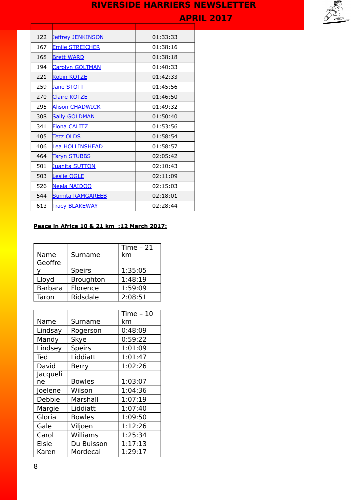**APRIL 2017** 



| 122 | Jeffrey JENKINSON      | 01:33:33 |
|-----|------------------------|----------|
| 167 | <b>Emile STREICHER</b> | 01:38:16 |
| 168 | <b>Brett WARD</b>      | 01:38:18 |
| 194 | <b>Carolyn GOLTMAN</b> | 01:40:33 |
| 221 | Robin KOTZE            | 01:42:33 |
| 259 | <b>Jane STOTT</b>      | 01:45:56 |
| 270 | <b>Claire KOTZE</b>    | 01:46:50 |
| 295 | Alison CHADWICK        | 01:49:32 |
| 308 | <b>Sally GOLDMAN</b>   | 01:50:40 |
| 341 | <b>Fiona CALITZ</b>    | 01:53:56 |
| 405 | <b>Tezz OLDS</b>       | 01:58:54 |
| 406 | Lea HOLLINSHEAD        | 01:58:57 |
| 464 | <b>Taryn STUBBS</b>    | 02:05:42 |
| 501 | Juanita SUTTON         | 02:10:43 |
| 503 | Leslie OGLE            | 02:11:09 |
| 526 | Neela NAIDOO           | 02:15:03 |
| 544 | Sumita RAMGAREEB       | 02:18:01 |
| 613 | <b>Tracy BLAKEWAY</b>  | 02:28:44 |

#### **Peace in Africa 10 & 21 km :12 March 2017:**

| Name           | Surname       | Time $-21$<br>km |
|----------------|---------------|------------------|
|                |               |                  |
| Geoffre        |               |                  |
|                | <b>Speirs</b> | 1:35:05          |
| Lloyd          | Broughton     | 1:48:19          |
| <b>Barbara</b> | Florence      | 1:59:09          |
| Taron          | Ridsdale      | 2:08:51          |

|          |               | Time - 10 |
|----------|---------------|-----------|
| Name     | Surname       | km        |
| Lindsay  | Rogerson      | 0:48:09   |
| Mandy    | Skye          | 0:59:22   |
| Lindsey  | <b>Speirs</b> | 1:01:09   |
| Ted      | Liddiatt      | 1:01:47   |
| David    | <b>Berry</b>  | 1:02:26   |
| Jacqueli |               |           |
| ne       | <b>Bowles</b> | 1:03:07   |
| Joelene  | Wilson        | 1:04:36   |
| Debbie   | Marshall      | 1:07:19   |
| Margie   | Liddiatt      | 1:07:40   |
| Gloria   | <b>Bowles</b> | 1:09:50   |
| Gale     | Viljoen       | 1:12:26   |
| Carol    | Williams      | 1:25:34   |
| Elsie    | Du Buisson    | 1:17:13   |
| Karen    | Mordecai      | 1:29:17   |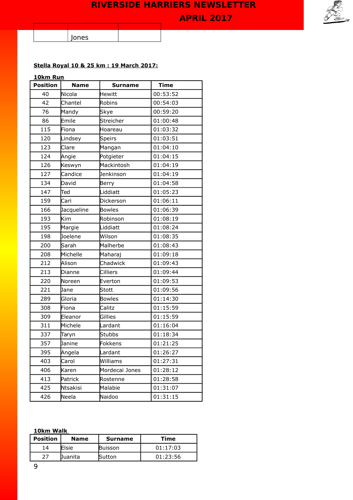**APRIL 2017** 



Jones

#### **Stella Royal 10 & 25 km : 19 March 2017:**

| <u>10km Run</u> |             |                |             |  |
|-----------------|-------------|----------------|-------------|--|
| <b>Position</b> | <b>Name</b> | <b>Surname</b> | <b>Time</b> |  |
| 40              | Nicola      | <b>Hewitt</b>  | 00:53:52    |  |
| 42              | Chantel     | <b>Robins</b>  | 00:54:03    |  |
| 76              | Mandy       | Skye           | 00:59:20    |  |
| 86              | Emile       | Streicher      | 01:00:48    |  |
| 115             | Fiona       | Hoareau        | 01:03:32    |  |
| 120             | Lindsey     | Speirs         | 01:03:51    |  |
| 123             | Clare       | Mangan         | 01:04:10    |  |
| 124             | Angie       | Potgieter      | 01:04:15    |  |
| 126             | Keswyn      | Mackintosh     | 01:04:19    |  |
| 127             | Candice     | Jenkinson      | 01:04:19    |  |
| 134             | David       | Berry          | 01:04:58    |  |
| 147             | Ted         | Liddiatt       | 01:05:23    |  |
| 159             | Cari        | Dickerson      | 01:06:11    |  |
| 166             | Jacqueline  | <b>Bowles</b>  | 01:06:39    |  |
| 193             | Kim         | Robinson       | 01:08:19    |  |
| 195             | Margie      | Liddiatt       | 01:08:24    |  |
| 198             | Joelene     | Wilson         | 01:08:35    |  |
| 200             | Sarah       | Malherbe       | 01:08:43    |  |
| 208             | Michelle    | Maharaj        | 01:09:18    |  |
| 212             | Alison      | Chadwick       | 01:09:43    |  |
| 213             | Dianne      | Cilliers       | 01:09:44    |  |
| 220             | Noreen      | Everton        | 01:09:53    |  |
| 221             | Jane        | Stott          | 01:09:56    |  |
| 289             | Gloria      | <b>Bowles</b>  | 01:14:30    |  |
| 308             | Fiona       | Calitz         | 01:15:59    |  |
| 309             | Eleanor     | Gillies        | 01:15:59    |  |
| 311             | Michele     | Lardant        | 01:16:04    |  |
| 337             | Taryn       | <b>Stubbs</b>  | 01:18:34    |  |
| 357             | Janine      | Fokkens        | 01:21:25    |  |
| 395             | Angela      | Lardant        | 01:26:27    |  |
| 403             | Carol       | Williams       | 01:27:31    |  |
| 406             | Karen       | Mordecai Jones | 01:28:12    |  |
| 413             | Patrick     | Rostenne       | 01:28:58    |  |
| 425             | Ntsakisi    | Malabie        | 01:31:07    |  |
| 426             | Neela       | Naidoo         | 01:31:15    |  |

 **10km Walk**

| <b>Position</b> | <b>Name</b> | <b>Surname</b> | Time     |
|-----------------|-------------|----------------|----------|
| 14              | Elsie       | Buisson        | 01:17:03 |
| つつ              | Juanita     | Sutton         | 01:23:56 |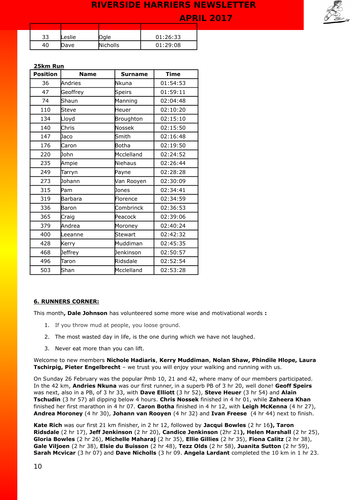**APRIL 2017** 

| つつ | Leslie | <b>Dale</b> | 01:26:33 |
|----|--------|-------------|----------|
|    | Dave   | Nicholls    | 01:29:08 |

#### **25km Run**

| <b>Position</b> | <b>Name</b> | <b>Surname</b> | <b>Time</b> |
|-----------------|-------------|----------------|-------------|
| 36              | Andries     | Nkuna          | 01:54:53    |
| 47              | Geoffrey    | Speirs         | 01:59:11    |
| 74              | Shaun       | Manning        | 02:04:48    |
| 110             | Steve       | Heuer          | 02:10:20    |
| 134             | Lloyd       | Broughton      | 02:15:10    |
| 140             | Chris       | Nossek         | 02:15:50    |
| 147             | Jaco        | Smith          | 02:16:48    |
| 176             | Caron       | <b>Botha</b>   | 02:19:50    |
| 220             | John        | Mcclelland     | 02:24:52    |
| 235             | Ampie       | Niehaus        | 02:26:44    |
| 249             | Tarryn      | Payne          | 02:28:28    |
| 273             | Johann      | Van Rooyen     | 02:30:09    |
| 315             | Pam         | Jones          | 02:34:41    |
| 319             | Barbara     | Florence       | 02:34:59    |
| 336             | Baron       | Combrinck      | 02:36:53    |
| 365             | Craig       | Peacock        | 02:39:06    |
| 379             | Andrea      | Moroney        | 02:40:24    |
| 400             | Leeanne     | Stewart        | 02:42:32    |
| 428             | Kerry       | Muddiman       | 02:45:35    |
| 468             | Jeffrey     | Jenkinson      | 02:50:57    |
| 496             | Taron       | Ridsdale       | 02:52:54    |
| 503             | Shan        | Mcclelland     | 02:53:28    |

#### **6. RUNNERS CORNER:**

This month**, Dale Johnson** has volunteered some more wise and motivational words **:** 

- 1. If you throw mud at people, you loose ground.
- 2. The most wasted day in life, is the one during which we have not laughed.
- 3. Never eat more than you can lift.

Welcome to new members **Nichole Hadiaris**, **Kerry Muddiman**, **Nolan Shaw, Phindile Hlope, Laura Tschirpig, Pieter Engelbrecht** – we trust you will enjoy your walking and running with us.

On Sunday 26 February was the popular Pmb 10, 21 and 42, where many of our members participated. In the 42 km, **Andries Nkuna** was our first runner, in a superb PB of 3 hr 20, well done! **Geoff Speirs** was next, also in a PB, of 3 hr 33, with **Dave Elliott** (3 hr 52), **Steve Heuer** (3 hr 54) and **Alain Tschudin** (3 hr 57) all dipping below 4 hours. **Chris Nossek** finished in 4 hr 01, while **Zaheera Khan** finished her first marathon in 4 hr 07. **Caron Botha** finished in 4 hr 12, with **Leigh McKenna** (4 hr 27), **Andrea Moroney** (4 hr 30), **Johann van Rooyen** (4 hr 32) and **Ivan Freese** (4 hr 44) next to finish.

**Kate Rich** was our first 21 km finisher, in 2 hr 12, followed by **Jacqui Bowles** (2 hr 16**), Taron Ridsdale** (2 hr 17), **Jeff Jenkinson** (2 hr 20), **Candice Jenkinson** (2hr 21**), Helen Marshall** (2 hr 25), **Gloria Bowles** (2 hr 26), **Michelle Maharaj** (2 hr 35), **Ellie Gillies** (2 hr 35), **Fiona Calitz** (2 hr 38), **Gale Viljoen** (2 hr 38), **Elsie du Buisson** (2 hr 48), **Tezz Olds** (2 hr 58), **Juanita Sutton** (2 hr 59), **Sarah Mcvicar** (3 hr 07) and **Dave Nicholls** (3 hr 09. **Angela Lardant** completed the 10 km in 1 hr 23.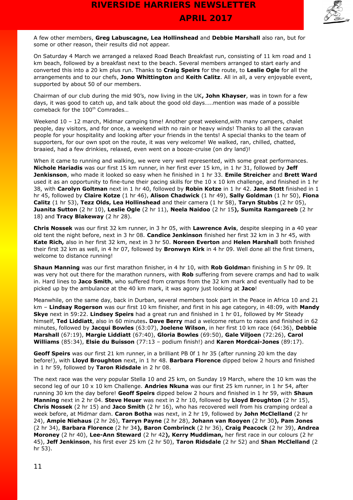

A few other members, **Greg Labuscagne, Lea Hollinshead** and **Debbie Marshall** also ran, but for some or other reason, their results did not appear.

On Saturday 4 March we arranged a relaxed Road Beach Breakfast run, consisting of 11 km road and 1 km beach, followed by a breakfast next to the beach. Several members arranged to start early and converted this into a 20 km plus run. Thanks to **Craig Speirs** for the route, to **Leslie Ogle** for all the arrangements and to our chefs, **Jono Whittington** and **Keith Calitz**. All in all, a very enjoyable event, supported by about 50 of our members.

Chairman of our club during the mid 90's, now living in the UK**, John Khayser**, was in town for a few days, it was good to catch up, and talk about the good old days…..mention was made of a possible comeback for the 100<sup>th</sup> Comrades...

Weekend 10 - 12 march, Midmar camping time! Another great weekend, with many campers, chalet people, day visitors, and for once, a weekend with no rain or heavy winds! Thanks to all the caravan people for your hospitality and looking after your friends in the tents! A special thanks to the team of supporters, for our own spot on the route, it was very welcome! We walked, ran, chilled, chatted, braaied, had a few drinkies, relaxed, even went on a booze-cruise (on dry land)!

When it came to running and walking, we were very well represented, with some great performances. **Nichole Hariadis** was our first 15 km runner, in her first ever 15 km, in 1 hr 31, followed by **Jeff Jenkisnson**, who made it looked so easy when he finished in 1 hr 33. **Emile Streicher** and **Brett Ward** used it as an opportunity to fine-tune their pacing skills for the  $10 \times 10$  km challenge, and finished in 1 hr 38, with **Carolyn Goltman** next in 1 hr 40, followed by **Robin Kotze** in 1 hr 42. **Jane Stott** finished in 1 hr 45, followed by **Claire Kotze** (1 hr 46), **Alison Chadwick** (1 hr 49), **Sally Goldman** (1 hr 50), **Fiona Calitz** (1 hr 53), **Tezz Olds, Lea Hollinshead** and their camera (1 hr 58), **Taryn Stubbs** (2 hr 05), **Juanita Sutton** (2 hr 10), **Leslie Ogle** (2 hr 11), **Neela Naidoo** (2 hr 15**), Sumita Ramgareeb** (2 hr 18) and **Tracy Blakeway** (2 hr 28).

**Chris Nossek** was our first 32 km runner, in 3 hr 05, with **Lawrence Avis**, despite sleeping in a 40 year old tent the night before, next in 3 hr 08. **Candice Jenkinson** finished her first 32 km in 3 hr 45, with **Kate Rich,** also in her first 32 km, next in 3 hr 50. **Noreen Everton** and **Helen Marshall** both finished their first 32 km as well, in 4 hr 07, followed by **Bronwyn Kirk** in 4 hr 09. Well done all the first timers, welcome to distance running!

**Shaun Manning** was our first marathon finisher, in 4 hr 10, with **Rob Goldma**n finishing in 5 hr 09. It was very hot out there for the marathon runners, with **Rob** suffering from severe cramps and had to walk in. Hard lines to **Jaco Smith**, who suffered from cramps from the 32 km mark and eventually had to be picked up by the ambulance at the 40 km mark, it was agony just looking at **Jaco**!

Meanwhile, on the same day, back in Durban, several members took part in the Peace in Africa 10 and 21 km – **Lindsay Rogerson** was our first 10 km finisher, and first in his age category, in 48:09, with **Mandy Skye** next in 59:22. **Lindsey Speirs** had a great run and finished in 1 hr 01, followed by Mr Steady himself, **Ted Liddiatt**, also in 60 minutes**. Dave Berry** mad a welcome return to races and finished in 62 minutes, followed by **Jacqui Bowles** (63:07), **Joelene Wilson**, in her first 10 km race (64:36), **Debbie Marshall** (67:19), **Margie Liddiatt** (67:40), **Gloria Bowles** (69:50), **Gale Viljoen** (72:26), **Carol Williams** (85:34), **Elsie du Buisson** (77:13 – podium finish!) and **Karen Mordcai-Jones** (89:17).

**Geoff Speirs** was our first 21 km runner, in a brilliant PB 0f 1 hr 35 (after running 20 km the day before!), with **Lloyd Broughton** next, in 1 hr 48. **Barbara Florence** dipped below 2 hours and finished in 1 hr 59, followed by **Taron Ridsdale** in 2 hr 08.

The next race was the very popular Stella 10 and 25 km, on Sunday 19 March, where the 10 km was the second leg of our 10 x 10 km Challenge. **Andries Nkuna** was our first 25 km runner, in 1 hr 54, after running 30 km the day before! **Geoff Speirs** dipped below 2 hours and finished in 1 hr 59, with **Shaun Manning** next in 2 hr 04. **Steve Heuer** was next in 2 hr 10, followed by **Lloyd Broughton** (2 hr 15), **Chris Nossek** (2 hr 15) and **Jaco Smith** (2 hr 16), who has recovered well from his cramping ordeal a week before, at Midmar dam. **Caron Botha** was next, in 2 hr 19, followed by **John McClelland** (2 hr 24), **Ampie Niehaus** (2 hr 26), **Tarryn Payne** (2 hr 28), **Johann van Rooyen** (2 hr 30**), Pam Jones** (2 hr 34), **Barbara Florence** (2 hr 34**), Baron Combrinck** (2 hr 36), **Craig Peacock** (2 hr 39), **Andrea Moroney** (2 hr 40), **Lee-Ann Steward** (2 hr 42**), Kerry Muddiman,** her first race in our colours (2 hr 45), **Jeff Jenkinson**, his first ever 25 km (2 hr 50), **Taron Ridsdale** (2 hr 52) and **Shan McClelland** (2 hr 53).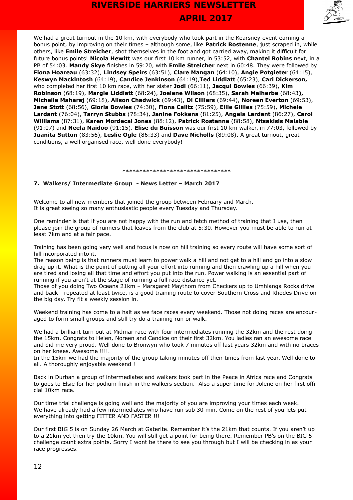

We had a great turnout in the 10 km, with everybody who took part in the Kearsney event earning a bonus point, by improving on their times – although some, like **Patrick Rostenne**, just scraped in, while others, like **Emile Streicher**, shot themselves in the foot and got carried away, making it difficult for future bonus points! **Nicola Hewitt** was our first 10 km runner, in 53:52, with **Chantel Robins** next, in a PB of 54:03. **Mandy Skye** finishes in 59:20, with **Emile Streicher** next in 60:48. They were followed by **Fiona Hoareau** (63:32), **Lindsey Speirs** (63:51), **Clare Mangan** (64:10), **Angie Potgieter** (64:15), **Keswyn Mackintosh** (64:19), **Candice Jenkinson** (64:19),**Ted Liddiatt** (65:23), **Cari Dickerson,** who completed her first 10 km race, with her sister **Jodi** (66:11), **Jacqui Bowles** (66:39), **Kim Robinson** (68:19), **Margie Liddiatt** (68:24), **Joelene Wilson** (68:35), **Sarah Malherbe** (68:43**), Michelle Maharaj** (69:18), **Alison Chadwick** (69:43), **Di Cilliers** (69:44), **Noreen Everton** (69:53), **Jane Stott** (68:56), **Gloria Bowles** (74:30), **Fiona Calitz** (75:59), **Ellie Gillies** (75:59), **Michele Lardant** (76:04), **Tarryn Stubbs** (78:34), **Janine Fokkens** (81:25), **Angela Lardant** (86:27), **Carol Williams** (87:31), **Karen Mordecai Jones** (88:12), **Patrick Rostenne** (88:58), **Ntsakisis Malabie** (91:07) and **Neela Naidoo** (91:15). **Elise du Buisson** was our first 10 km walker, in 77:03, followed by **Juanita Sutton** (83:56), **Leslie Ogle** (86:33) and **Dave Nicholls** (89:08). A great turnout, great conditions, a well organised race, well done everybody!

#### \*\*\*\*\*\*\*\*\*\*\*\*\*\*\*\*\*\*\*\*\*\*\*\*\*\*\*\*\*\*\*\*

#### **7. Walkers/ Intermediate Group - News Letter – March 2017**

Welcome to all new members that joined the group between February and March. It is great seeing so many enthusiastic people every Tuesday and Thursday.

One reminder is that if you are not happy with the run and fetch method of training that I use, then please join the group of runners that leaves from the club at 5:30. However you must be able to run at least 7km and at a fair pace.

Training has been going very well and focus is now on hill training so every route will have some sort of hill incorporated into it.

The reason being is that runners must learn to power walk a hill and not get to a hill and go into a slow drag up it. What is the point of putting all your effort into running and then crawling up a hill when you are tired and losing all that time and effort you put into the run. Power walking is an essential part of running if you aren't at the stage of running a full race distance yet.

Those of you doing Two Oceans 21km – Maragaret Maythom from Checkers up to Umhlanga Rocks drive and back - repeated at least twice, is a good training route to cover Southern Cross and Rhodes Drive on the big day. Try fit a weekly session in.

Weekend training has come to a halt as we face races every weekend. Those not doing races are encouraged to form small groups and still try do a training run or walk.

We had a brilliant turn out at Midmar race with four intermediates running the 32km and the rest doing the 15km. Congrats to Helen, Noreen and Candice on their first 32km. You ladies ran an awesome race and did me very proud. Well done to Bronwyn who took 7 minutes off last years 32km and with no braces on her knees. Awesome !!!!.

In the 15km we had the majority of the group taking minutes off their times from last year. Well done to all. A thoroughly enjoyable weekend !

Back in Durban a group of intermediates and walkers took part in the Peace in Africa race and Congrats to goes to Elsie for her podium finish in the walkers section. Also a super time for Jolene on her first official 10km race.

Our time trial challenge is going well and the majority of you are improving your times each week. We have already had a few intermediates who have run sub 30 min. Come on the rest of you lets put everything into getting FITTER AND FASTER !!!

Our first BIG 5 is on Sunday 26 March at Gaterite. Remember it's the 21km that counts. If you aren't up to a 21km yet then try the 10km. You will still get a point for being there. Remember PB's on the BIG 5 challenge count extra points. Sorry I wont be there to see you through but I will be checking in as your race progresses.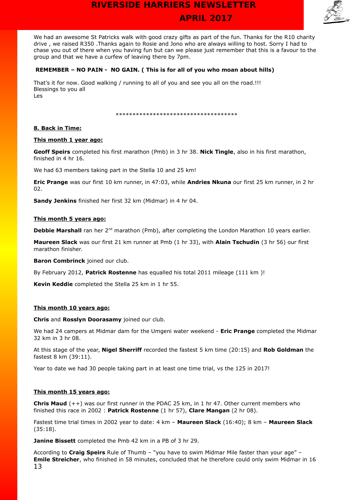

We had an awesome St Patricks walk with good crazy gifts as part of the fun. Thanks for the R10 charity drive , we raised R350 .Thanks again to Rosie and Jono who are always willing to host. Sorry I had to chase you out of there when you having fun but can we please just remember that this is a favour to the group and that we have a curfew of leaving there by 7pm.

#### **REMEMBER – NO PAIN - NO GAIN. ( This is for all of you who moan about hills)**

That's it for now. Good walking / running to all of you and see you all on the road.!!! Blessings to you all Les

\*\*\*\*\*\*\*\*\*\*\*\*\*\*\*\*\*\*\*\*\*\*\*\*\*\*\*\*\*\*\*\*\*\*\*\*

#### **8. Back in Time:**

#### **This month 1 year ago:**

**Geoff Speirs** completed his first marathon (Pmb) in 3 hr 38. **Nick Tingle**, also in his first marathon, finished in 4 hr 16.

We had 63 members taking part in the Stella 10 and 25 km!

**Eric Prange** was our first 10 km runner, in 47:03, while **Andries Nkuna** our first 25 km runner, in 2 hr 02.

**Sandy Jenkins** finished her first 32 km (Midmar) in 4 hr 04.

#### **This month 5 years ago:**

**Debbie Marshall** ran her 2<sup>nd</sup> marathon (Pmb), after completing the London Marathon 10 years earlier.

**Maureen Slack** was our first 21 km runner at Pmb (1 hr 33), with **Alain Tschudin** (3 hr 56) our first marathon finisher.

**Baron Combrinck** joined our club.

By February 2012, **Patrick Rostenne** has equalled his total 2011 mileage (111 km )!

**Kevin Keddie** completed the Stella 25 km in 1 hr 55.

#### **This month 10 years ago:**

#### **Chris** and **Rosslyn Doorasamy** joined our club.

We had 24 campers at Midmar dam for the Umgeni water weekend - **Eric Prange** completed the Midmar 32 km in 3 hr 08.

At this stage of the year, **Nigel Sherriff** recorded the fastest 5 km time (20:15) and **Rob Goldman** the fastest 8 km (39:11).

Year to date we had 30 people taking part in at least one time trial, vs the 125 in 2017!

#### **This month 15 years ago:**

**Chris Maud** (++) was our first runner in the PDAC 25 km, in 1 hr 47. Other current members who finished this race in 2002 : **Patrick Rostenne** (1 hr 57), **Clare Mangan** (2 hr 08).

Fastest time trial times in 2002 year to date: 4 km – **Maureen Slack** (16:40); 8 km – **Maureen Slack** (35:18).

**Janine Bissett** completed the Pmb 42 km in a PB of 3 hr 29.

According to **Craig Speirs** Rule of Thumb – "you have to swim Midmar Mile faster than your age" – **Emile Streicher**, who finished in 58 minutes, concluded that he therefore could only swim Midmar in 16 13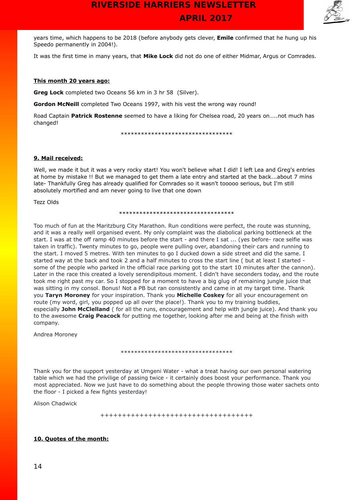

years time, which happens to be 2018 (before anybody gets clever, **Emile** confirmed that he hung up his Speedo permanently in 2004!).

It was the first time in many years, that **Mike Lock** did not do one of either Midmar, Argus or Comrades.

#### **This month 20 years ago:**

**Greg Lock** completed two Oceans 56 km in 3 hr 58 (Silver).

**Gordon McNeill** completed Two Oceans 1997, with his vest the wrong way round!

Road Captain **Patrick Rostenne** seemed to have a liking for Chelsea road, 20 years on…..not much has changed!

\*\*\*\*\*\*\*\*\*\*\*\*\*\*\*\*\*\*\*\*\*\*\*\*\*\*\*\*\*\*\*\*\*

#### **9. Mail received:**

Well, we made it but it was a very rocky start! You won't believe what I did! I left Lea and Greg's entries at home by mistake !! But we managed to get them a late entry and started at the back...about 7 mins late- Thankfully Greg has already qualified for Comrades so it wasn't tooooo serious, but I'm still absolutely mortified and am never going to live that one down

Tezz Olds

#### \*\*\*\*\*\*\*\*\*\*\*\*\*\*\*\*\*\*\*\*\*\*\*\*\*\*\*\*\*\*\*\*\*\*

Too much of fun at the Maritzburg City Marathon. Run conditions were perfect, the route was stunning, and it was a really well organised event. My only complaint was the diabolical parking bottleneck at the start. I was at the off ramp 40 minutes before the start - and there I sat ... (yes before- race selfie was taken in traffic). Twenty minutes to go, people were pulling over, abandoning their cars and running to the start. I moved 5 metres. With ten minutes to go I ducked down a side street and did the same. I started way at the back and took 2 and a half minutes to cross the start line ( but at least I started some of the people who parked in the official race parking got to the start 10 minutes after the cannon). Later in the race this created a lovely serendipitous moment. I didn't have seconders today, and the route took me right past my car. So I stopped for a moment to have a big glug of remaining jungle juice that was sitting in my consol. Bonus! Not a PB but ran consistently and came in at my target time. Thank you **Taryn Moroney** for your inspiration. Thank you **Michelle Coskey** for all your encouragement on route (my word, girl, you popped up all over the place!). Thank you to my training buddies, especially **John McClelland** ( for all the runs, encouragement and help with jungle juice). And thank you to the awesome **Craig Peacock** for putting me together, looking after me and being at the finish with company.

Andrea Moroney

#### \*\*\*\*\*\*\*\*\*\*\*\*\*\*\*\*\*\*\*\*\*\*\*\*\*\*\*\*\*\*\*\*\*

Thank you for the support yesterday at Umgeni Water - what a treat having our own personal watering table which we had the privilige of passing twice - it certainly does boost your performance. Thank you most appreciated. Now we just have to do something about the people throwing those water sachets onto the floor - I picked a few fights yesterday!

Alison Chadwick

+++++++++++++++++++++++++++++++++++

#### **10. Quotes of the month:**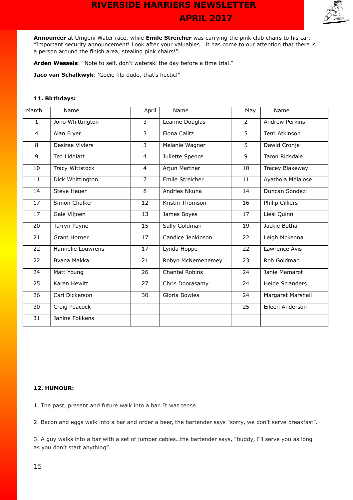

**Announcer** at Umgeni Water race, while **Emile Streicher** was carrying the pink club chairs to his car: "Important security announcement! Look after your valuables….it has come to our attention that there is a person around the finish area, stealing pink chairs!".

**Arden Wessels**: "Note to self, don't waterski the day before a time trial."

**Jaco van Schalkwyk**: 'Goeie filp dude, that's hectic!"

#### **11. Birthdays:**

| March          | Name                   | April          | Name                  | May            | Name                   |
|----------------|------------------------|----------------|-----------------------|----------------|------------------------|
| $\mathbf{1}$   | Jono Whittington       | 3              | Leanne Douglas        | $\overline{2}$ | <b>Andrew Perkins</b>  |
| 4              | Alan Fryer             | $\overline{3}$ | <b>Fiona Calitz</b>   | $\overline{5}$ | Terri Atkinson         |
| 8              | <b>Desiree Viviers</b> | $\overline{3}$ | Melanie Wagner        | $\overline{5}$ | Dawid Cronje           |
| $\overline{9}$ | <b>Ted Liddiatt</b>    | $\overline{4}$ | Juliette Spence       | $\overline{9}$ | <b>Taron Ridsdale</b>  |
| 10             | Tracy Wittstock        | $\overline{4}$ | Arjun Marther         | 10             | Tracey Blakeway        |
| 11             | Dick Whittington       | $\overline{7}$ | Emile Streicher       | 11             | Ayathola Mdlalose      |
| 14             | Steve Heuer            | 8              | Andries Nkuna         | 14             | Duncan Sondezi         |
| 17             | Simon Chalker          | 12             | Kristin Thomson       | 16             | Philip Cilliers        |
| 17             | Gale Viljoen           | 13             | James Boyes           | 17             | Liesl Quinn            |
| 20             | Tarryn Payne           | 15             | Sally Goldman         | 19             | Jackie Botha           |
| 21             | <b>Grant Horner</b>    | 17             | Candice Jenkinson     | 22             | Leigh Mckenna          |
| 22             | Hannelie Louwrens      | 17             | Lynda Hoppe           | 22             | Lawrence Avis          |
| 22             | Bvana Makka            | 21             | Robyn McNemenemey     | 23             | Rob Goldman            |
| 24             | Matt Young             | 26             | <b>Chantel Robins</b> | 24             | Janie Mamarot          |
| 25             | Karen Hewitt           | 27             | Chris Doorasamy       | 24             | <b>Heide Sclanders</b> |
| 26             | Cari Dickerson         | 30             | Gloria Bowles         | 24             | Margaret Marshall      |
| 30             | Craig Peacock          |                |                       | 25             | Eileen Anderson        |
| 31             | Janine Fokkens         |                |                       |                |                        |

#### **12. HUMOUR:**

1. The past, present and future walk into a bar. It was tense.

2. Bacon and eggs walk into a bar and order a beer, the bartender says "sorry, we don't serve breakfast".

3. A guy walks into a bar with a set of jumper cables…the bartender says, "buddy, I'll serve you as long as you don't start anything".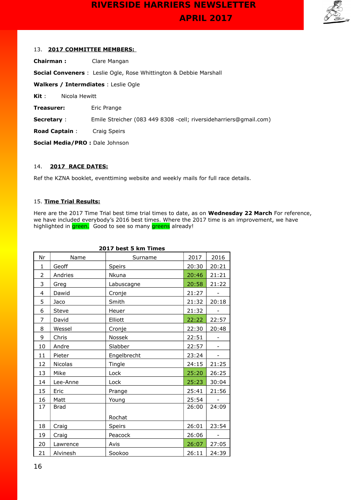

#### 13. **2017 COMMITTEE MEMBERS:**

**Chairman :** Clare Mangan

**Social Conveners** : Leslie Ogle, Rose Whittington & Debbie Marshall

**Walkers / Intermdiates** : Leslie Ogle

**Kit** : Nicola Hewitt

**Treasurer:** Eric Prange

**Secretary** : Emile Streicher (083 449 8308 -cell; riversideharriers@gmail.com)

**Road Captain** : Craig Speirs

**Social Media/PRO :** Dale Johnson

#### 14. **2017 RACE DATES:**

Ref the KZNA booklet, eventtiming website and weekly mails for full race details.

#### 15. **Time Trial Results:**

Here are the 2017 Time Trial best time trial times to date, as on **Wednesday 22 March** For reference, we have included everybody's 2016 best times. Where the 2017 time is an improvement, we have highlighted in  $g$ reen. Good to see so many greens already!

| Nr             | Name           | Surname     | 2017  | 2016  |
|----------------|----------------|-------------|-------|-------|
| 1              | Geoff          | Speirs      | 20:30 | 20:21 |
| $\overline{2}$ | Andries        | Nkuna       | 20:46 | 21:21 |
| 3              | Greg           | Labuscagne  | 20:58 | 21:22 |
| 4              | Dawid          | Cronje      | 21:27 |       |
| 5              | Jaco           | Smith       | 21:32 | 20:18 |
| 6              | Steve          | Heuer       | 21:32 |       |
| 7              | David          | Elliott     | 22:22 | 22:57 |
| 8              | Wessel         | Cronje      | 22:30 | 20:48 |
| 9              | Chris          | Nossek      | 22:51 |       |
| 10             | Andre          | Slabber     | 22:57 |       |
| 11             | Pieter         | Engelbrecht | 23:24 |       |
| 12             | <b>Nicolas</b> | Tingle      | 24:15 | 21:25 |
| 13             | Mike           | Lock        | 25:20 | 26:25 |
| 14             | Lee-Anne       | Lock        | 25:23 | 30:04 |
| 15             | Eric           | Prange      | 25:41 | 21:56 |
| 16             | Matt           | Young       | 25:54 |       |
| 17             | <b>Brad</b>    |             | 26:00 | 24:09 |
|                |                | Rochat      |       |       |
| 18             | Craig          | Speirs      | 26:01 | 23:54 |
| 19             | Craig          | Peacock     | 26:06 |       |
| 20             | Lawrence       | Avis        | 26:07 | 27:05 |
| 21             | Alvinesh       | Sookoo      | 26:11 | 24:39 |

#### **2017 best 5 km Times**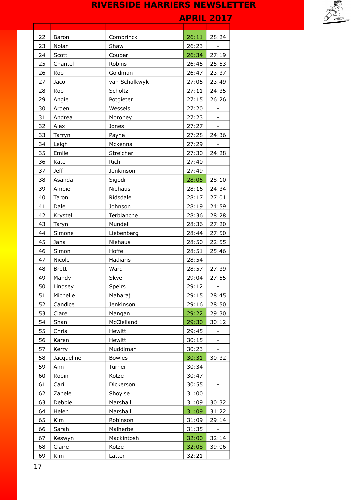| 22 | Baron        | Combrinck     | 26:11 | 28:24                    |
|----|--------------|---------------|-------|--------------------------|
| 23 | Nolan        | Shaw          | 26:23 |                          |
| 24 | Scott        | Couper        | 26:34 | 27:19                    |
| 25 | Chantel      | Robins        | 26:45 | 25:53                    |
| 26 | Rob          | Goldman       | 26:47 | 23:37                    |
| 27 | Jaco         | van Schalkwyk | 27:05 | 23:49                    |
| 28 | Rob          | Scholtz       | 27:11 | 24:35                    |
| 29 | Angie        | Potgieter     | 27:15 | 26:26                    |
| 30 | Arden        | Wessels       | 27:20 |                          |
| 31 | Andrea       | Moroney       | 27:23 |                          |
| 32 | Alex         | Jones         | 27:27 |                          |
| 33 | Tarryn       | Payne         | 27:28 | 24:36                    |
| 34 | Leigh        | Mckenna       | 27:29 |                          |
| 35 | Emile        | Streicher     | 27:30 | 24:28                    |
| 36 | Kate         | Rich          | 27:40 |                          |
| 37 | <b>Jeff</b>  | Jenkinson     | 27:49 |                          |
| 38 | Asanda       | Sigodi        | 28:05 | 28:10                    |
| 39 | Ampie        | Niehaus       | 28:16 | 24:34                    |
| 40 | Taron        | Ridsdale      | 28:17 | 27:01                    |
| 41 | Dale         | Johnson       | 28:19 | 24:59                    |
| 42 | Krystel      | Terblanche    | 28:36 | 28:28                    |
| 43 | Taryn        | Mundell       | 28:36 | 27:20                    |
| 44 | Simone       | Liebenberg    | 28:44 | 27:50                    |
| 45 | Jana         | Niehaus       | 28:50 | 22:55                    |
| 46 | Simon        | Hoffe         | 28:51 | 25:46                    |
| 47 | Nicole       | Hadiaris      | 28:54 |                          |
| 48 | <b>Brett</b> | Ward          | 28:57 | 27:39                    |
| 49 | Mandy        | Skye          | 29:04 | 27:55                    |
| 50 | Lindsey      | <b>Speirs</b> | 29:12 | $\overline{\phantom{a}}$ |
| 51 | Michelle     | Maharaj       | 29:15 | 28:45                    |
| 52 | Candice      | Jenkinson     | 29:16 | 28:50                    |
| 53 | Clare        | Mangan        | 29:22 | 29:30                    |
| 54 | Shan         | McClelland    | 29:30 | 30:12                    |
| 55 | Chris        | Hewitt        | 29:45 |                          |
| 56 | Karen        | Hewitt        | 30:15 |                          |
| 57 | Kerry        | Muddiman      | 30:23 |                          |
| 58 | Jacqueline   | <b>Bowles</b> | 30:31 | 30:32                    |
| 59 | Ann          | Turner        | 30:34 |                          |
| 60 | Robin        | Kotze         | 30:47 |                          |
| 61 | Cari         | Dickerson     | 30:55 |                          |
| 62 | Zanele       | Shoyise       | 31:00 |                          |
| 63 | Debbie       | Marshall      | 31:09 | 30:32                    |
| 64 | Helen        | Marshall      | 31:09 | 31:22                    |
| 65 | Kim          | Robinson      | 31:09 | 29:14                    |
| 66 | Sarah        | Malherbe      | 31:35 | $\sim$                   |
| 67 | Keswyn       | Mackintosh    | 32:00 | 32:14                    |
| 68 | Claire       | Kotze         | 32:08 | 39:06                    |
| 69 | Kim          | Latter        | 32:21 |                          |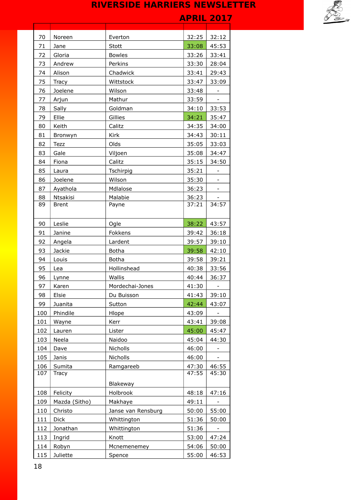

| 70  | Noreen        | Everton            | 32:25 | 32:12 |
|-----|---------------|--------------------|-------|-------|
| 71  | Jane          | <b>Stott</b>       | 33:08 | 45:53 |
| 72  | Gloria        | <b>Bowles</b>      | 33:26 | 33:41 |
| 73  | Andrew        | Perkins            | 33:30 | 28:04 |
| 74  | Alison        | Chadwick           | 33:41 | 29:43 |
| 75  | Tracy         | Wittstock          | 33:47 | 33:09 |
| 76  | Joelene       | Wilson             | 33:48 |       |
| 77  | Arjun         | Mathur             | 33:59 |       |
| 78  | Sally         | Goldman            | 34:10 | 33:53 |
| 79  | Ellie         | Gillies            | 34:21 | 35:47 |
| 80  | Keith         | Calitz             | 34:35 | 34:00 |
| 81  | Bronwyn       | Kirk               | 34:43 | 30:11 |
| 82  | <b>Tezz</b>   | Olds               | 35:05 | 33:03 |
| 83  | Gale          | Viljoen            | 35:08 | 34:47 |
| 84  | Fiona         | Calitz             | 35:15 | 34:50 |
| 85  | Laura         | Tschirpig          | 35:21 |       |
| 86  | Joelene       | Wilson             | 35:30 |       |
| 87  | Ayathola      | Mdlalose           | 36:23 | -     |
| 88  | Ntsakisi      | Malabie            | 36:23 |       |
| 89  | <b>Brent</b>  | Payne              | 37:21 | 34:57 |
|     |               |                    |       |       |
| 90  | Leslie        | Ogle               | 38:22 | 43:57 |
| 91  | Janine        | Fokkens            | 39:42 | 36:18 |
| 92  | Angela        | Lardent            | 39:57 | 39:10 |
| 93  | Jackie        | <b>Botha</b>       | 39:58 | 42:10 |
| 94  | Louis         | Botha              | 39:58 | 39:21 |
| 95  | Lea           | Hollinshead        | 40:38 | 33:56 |
| 96  | Lynne         | Wallis             | 40:44 | 36:37 |
| 97  | Karen         | Mordechai-Jones    | 41:30 |       |
| 98  | Elsie         | Du Buisson         | 41:43 | 39:10 |
| 99  | Juanita       | Sutton             | 42:44 | 43:07 |
| 100 | Phindile      | Hlope              | 43:09 |       |
| 101 | Wayne         | Kerr               | 43:41 | 39:08 |
| 102 | Lauren        | Lister             | 45:00 | 45:47 |
| 103 | Neela         | Naidoo             | 45:04 | 44:30 |
| 104 | Dave          | Nicholls           | 46:00 |       |
| 105 | Janis         | Nicholls           | 46:00 |       |
| 106 | Sumita        | Ramgareeb          | 47:30 | 46:55 |
| 107 | Tracy         |                    | 47:55 | 45:30 |
|     |               | Blakeway           |       |       |
| 108 | Felicity      | Holbrook           | 48:18 | 47:16 |
| 109 | Mazda (Sitho) | Makhaye            | 49:11 |       |
| 110 | Christo       | Janse van Rensburg | 50:00 | 55:00 |
| 111 | <b>Dick</b>   | Whittington        | 51:36 | 50:00 |
| 112 | Jonathan      | Whittington        | 51:36 |       |
| 113 | Ingrid        | Knott              | 53:00 | 47:24 |
| 114 | Robyn         | Mcnemenemey        | 54:06 | 50:00 |
| 115 | Juliette      | Spence             | 55:00 | 46:53 |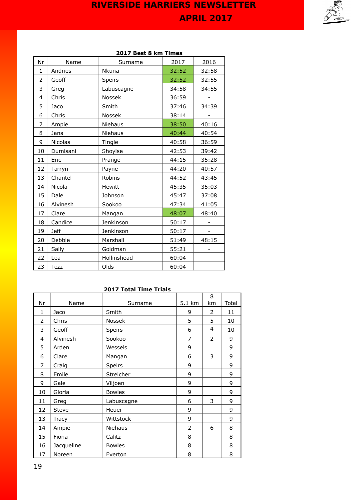

|                | 2017 Best 8 km Times |             |       |                          |  |
|----------------|----------------------|-------------|-------|--------------------------|--|
| Nr             | Name                 | Surname     | 2017  | 2016                     |  |
| $\mathbf{1}$   | Andries              | Nkuna       | 32:52 | 32:58                    |  |
| $\overline{2}$ | Geoff                | Speirs      | 32:52 | 32:55                    |  |
| 3              | Greg                 | Labuscagne  | 34:58 | 34:55                    |  |
| $\overline{4}$ | Chris                | Nossek      | 36:59 |                          |  |
| 5              | Jaco                 | Smith       | 37:46 | 34:39                    |  |
| 6              | Chris                | Nossek      | 38:14 |                          |  |
| 7              | Ampie                | Niehaus     | 38:50 | 40:16                    |  |
| 8              | Jana                 | Niehaus     | 40:44 | 40:54                    |  |
| 9              | <b>Nicolas</b>       | Tingle      | 40:58 | 36:59                    |  |
| 10             | Dumisani             | Shoyise     | 42:53 | 39:42                    |  |
| 11             | Eric                 | Prange      | 44:15 | 35:28                    |  |
| 12             | Tarryn               | Payne       | 44:20 | 40:57                    |  |
| 13             | Chantel              | Robins      | 44:52 | 43:45                    |  |
| 14             | Nicola               | Hewitt      | 45:35 | 35:03                    |  |
| 15             | Dale                 | Johnson     | 45:47 | 37:08                    |  |
| 16             | Alvinesh             | Sookoo      | 47:34 | 41:05                    |  |
| 17             | Clare                | Mangan      | 48:07 | 48:40                    |  |
| 18             | Candice              | Jenkinson   | 50:17 |                          |  |
| 19             | <b>Jeff</b>          | Jenkinson   | 50:17 | $\overline{\phantom{a}}$ |  |
| 20             | Debbie               | Marshall    | 51:49 | 48:15                    |  |
| 21             | Sally                | Goldman     | 55:21 |                          |  |
| 22             | Lea                  | Hollinshead | 60:04 | $\qquad \qquad -$        |  |
| 23             | Tezz                 | Olds        | 60:04 |                          |  |

#### **2017 Total Time Trials**

|              |            |               |        | 8  |       |
|--------------|------------|---------------|--------|----|-------|
| Nr           | Name       | Surname       | 5.1 km | km | Total |
| $\mathbf{1}$ | Jaco       | Smith         | 9      | 2  | 11    |
| 2            | Chris      | Nossek        | 5      | 5  | 10    |
| 3            | Geoff      | <b>Speirs</b> | 6      | 4  | 10    |
| 4            | Alvinesh   | Sookoo        | 7      | 2  | 9     |
| 5            | Arden      | Wessels       | 9      |    | 9     |
| 6            | Clare      | Mangan        | 6      | 3  | 9     |
| 7            | Craig      | Speirs        | 9      |    | 9     |
| 8            | Emile      | Streicher     | 9      |    | 9     |
| 9            | Gale       | Viljoen       | 9      |    | 9     |
| 10           | Gloria     | <b>Bowles</b> | 9      |    | 9     |
| 11           | Greg       | Labuscagne    | 6      | 3  | 9     |
| 12           | Steve      | Heuer         | 9      |    | 9     |
| 13           | Tracy      | Wittstock     | 9      |    | 9     |
| 14           | Ampie      | Niehaus       | 2      | 6  | 8     |
| 15           | Fiona      | Calitz        | 8      |    | 8     |
| 16           | Jacqueline | <b>Bowles</b> | 8      |    | 8     |
| 17           | Noreen     | Everton       | 8      |    | 8     |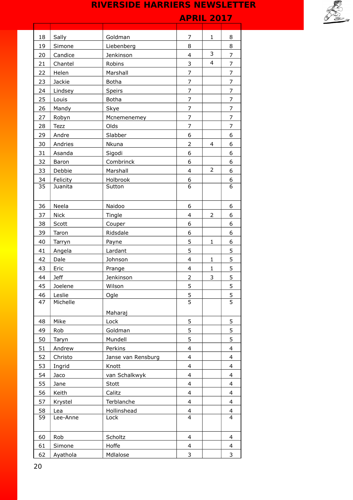| 18 | Sally       | Goldman            | 7                        | 1 | 8                                         |
|----|-------------|--------------------|--------------------------|---|-------------------------------------------|
| 19 | Simone      | Liebenberg         | 8                        |   | 8                                         |
| 20 | Candice     | Jenkinson          | $\overline{\mathbf{4}}$  | 3 | 7                                         |
| 21 | Chantel     | Robins             | 3                        | 4 | $\overline{7}$                            |
| 22 | Helen       | Marshall           | 7                        |   | 7                                         |
| 23 | Jackie      | <b>Botha</b>       | 7                        |   | $\overline{7}$                            |
| 24 | Lindsey     | Speirs             | 7                        |   | 7                                         |
| 25 | Louis       | <b>Botha</b>       | 7                        |   | $\overline{7}$                            |
| 26 | Mandy       | Skye               | 7                        |   | 7                                         |
| 27 | Robyn       | Mcnemenemey        | 7                        |   | $\overline{7}$                            |
| 28 | Tezz        | Olds               | 7                        |   | 7                                         |
| 29 | Andre       | Slabber            | 6                        |   | 6                                         |
| 30 | Andries     | Nkuna              | $\overline{2}$           | 4 | 6                                         |
| 31 | Asanda      | Sigodi             | 6                        |   | 6                                         |
| 32 | Baron       | Combrinck          | 6                        |   | 6                                         |
| 33 | Debbie      | Marshall           | $\overline{\mathbf{4}}$  | 2 | 6                                         |
| 34 | Felicity    | Holbrook           | 6                        |   | 6                                         |
| 35 | Juanita     | Sutton             | $\overline{6}$           |   | $\overline{6}$                            |
|    |             |                    |                          |   |                                           |
| 36 | Neela       | Naidoo             | 6                        |   | 6                                         |
| 37 | <b>Nick</b> | Tingle             | 4                        | 2 | 6                                         |
| 38 | Scott       | Couper             | 6                        |   | 6                                         |
| 39 | Taron       | Ridsdale           | 6                        |   | 6                                         |
| 40 | Tarryn      | Payne              | 5                        | 1 | 6                                         |
| 41 | Angela      | Lardant            | 5                        |   | 5                                         |
| 42 | Dale        | Johnson            | $\overline{\mathcal{L}}$ | 1 | 5                                         |
| 43 | Eric        | Prange             | 4                        | 1 | 5                                         |
| 44 | <b>Jeff</b> | Jenkinson          | 2                        | 3 | 5                                         |
| 45 | Joelene     | Wilson             | 5                        |   | 5                                         |
| 46 | Leslie      | Ogle               | 5                        |   | 5                                         |
| 47 | Michelle    |                    | $\overline{5}$           |   | $\overline{5}$                            |
|    |             | Maharaj            |                          |   |                                           |
| 48 | Mike        | Lock               | $\mathsf S$              |   | 5                                         |
| 49 | Rob         | Goldman            | 5                        |   | 5                                         |
| 50 | Taryn       | Mundell            | 5                        |   | 5                                         |
| 51 | Andrew      | Perkins            | $\overline{\mathbf{4}}$  |   | $\overline{\mathbf{4}}$                   |
| 52 | Christo     | Janse van Rensburg | 4                        |   | $\overline{\mathbf{4}}$                   |
| 53 | Ingrid      | Knott              | $\overline{\mathbf{4}}$  |   | $\overline{\mathbf{4}}$                   |
| 54 | Jaco        | van Schalkwyk      | 4                        |   | $\overline{\mathbf{4}}$                   |
| 55 | Jane        | Stott              | $\overline{\mathbf{4}}$  |   | $\overline{\mathbf{4}}$                   |
| 56 | Keith       | Calitz             | 4                        |   | $\overline{\mathbf{4}}$                   |
| 57 | Krystel     | Terblanche         | $\overline{\mathbf{4}}$  |   | $\overline{\mathbf{4}}$                   |
| 58 | Lea         | Hollinshead        | $\frac{4}{4}$            |   | $\overline{\mathbf{4}}$<br>$\overline{4}$ |
| 59 | Lee-Anne    | Lock               |                          |   |                                           |
|    |             |                    |                          |   |                                           |
| 60 | Rob         | Scholtz            | $\overline{\mathbf{4}}$  |   | $\overline{4}$                            |
| 61 | Simone      | Hoffe              | 4                        |   | $\overline{\mathbf{4}}$                   |
| 62 | Ayathola    | Mdlalose           | 3                        |   | 3                                         |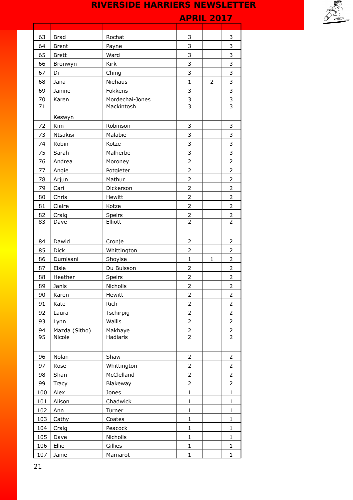| 63  | <b>Brad</b>   | Rochat              | 3                                |                | 3              |
|-----|---------------|---------------------|----------------------------------|----------------|----------------|
| 64  | <b>Brent</b>  | Payne               | 3                                |                | 3              |
| 65  | <b>Brett</b>  | Ward                | 3                                |                | 3              |
| 66  | Bronwyn       | Kirk                | 3                                |                | 3              |
| 67  | Di            | Ching               | 3                                |                | 3              |
| 68  | Jana          | Niehaus             | $\mathbf{1}$                     | $\overline{2}$ | 3              |
| 69  | Janine        | Fokkens             | 3                                |                | 3              |
| 70  | Karen         | Mordechai-Jones     | 3                                |                | 3              |
| 71  |               | Mackintosh          | $\overline{3}$                   |                | $\overline{3}$ |
|     | Keswyn        |                     |                                  |                |                |
| 72  | Kim           | Robinson            | 3                                |                | 3              |
| 73  | Ntsakisi      | Malabie             | 3                                |                | 3              |
| 74  | Robin         | Kotze               | 3                                |                | 3              |
| 75  | Sarah         | Malherbe            | 3                                |                | 3              |
| 76  | Andrea        | Moroney             | $\mathbf 2$                      |                | 2              |
| 77  | Angie         | Potgieter           | $\overline{2}$                   |                | $\overline{2}$ |
| 78  | Arjun         | Mathur              | $\overline{2}$                   |                | 2              |
| 79  | Cari          | Dickerson           | $\overline{2}$                   |                | $\overline{2}$ |
| 80  | Chris         | Hewitt              | $\mathbf 2$                      |                | 2              |
| 81  | Claire        | Kotze               | $\overline{2}$                   |                | $\overline{2}$ |
| 82  | Craig         | Speirs              |                                  |                | $\overline{2}$ |
| 83  | Dave          | Elliott             | $\frac{2}{2}$                    |                | $\overline{2}$ |
|     |               |                     |                                  |                |                |
| 84  | Dawid         | Cronje              | $\overline{2}$                   |                | 2              |
| 85  | Dick          | Whittington         | $\overline{2}$                   |                | $\overline{2}$ |
| 86  | Dumisani      | Shoyise             | $\mathbf{1}$                     | 1              | $\overline{2}$ |
| 87  | Elsie         | Du Buisson          | $\overline{2}$                   |                | $\overline{2}$ |
| 88  | Heather       | Speirs              | $\mathbf 2$                      |                | $\overline{2}$ |
| 89  | Janis         | Nicholls            | $\overline{2}$                   |                | $\overline{2}$ |
| 90  | Karen         | Hewitt              | $\overline{2}$                   |                | 2              |
| 91  | Kate          | Rich                | $\overline{2}$                   |                | $\overline{2}$ |
| 92  | Laura         | Tschirpig           | $\overline{2}$                   |                | $\overline{2}$ |
| 93  | Lynn          | Wallis              | $\overline{2}$                   |                | $\overline{2}$ |
| 94  | Mazda (Sitho) | Makhaye             |                                  |                | $\overline{2}$ |
| 95  | Nicole        | Hadiaris            | $\overline{2}$<br>$\overline{2}$ |                | $\overline{2}$ |
|     |               |                     |                                  |                |                |
| 96  | Nolan         | Shaw                | $\overline{2}$                   |                | $\overline{2}$ |
| 97  | Rose          | Whittington         | $\overline{2}$                   |                | $\overline{2}$ |
| 98  | Shan          | McClelland          | $\overline{2}$                   |                | $\overline{2}$ |
| 99  | Tracy         | Blakeway            | $\overline{2}$                   |                | $\overline{2}$ |
| 100 | Alex          | Jones               | $\mathbf 1$                      |                | $\mathbf{1}$   |
| 101 | Alison        | Chadwick            | $\mathbf 1$                      |                | $\mathbf{1}$   |
| 102 | Ann           | Turner              | $\mathbf 1$                      |                | $\mathbf{1}$   |
| 103 | Cathy         | Coates              | $\mathbf 1$                      |                | $\mathbf{1}$   |
| 104 |               |                     | $\mathbf 1$                      |                | $\mathbf{1}$   |
|     | Craig         | Peacock<br>Nicholls |                                  |                |                |
| 105 | Dave          |                     | $\mathbf{1}$                     |                | $\mathbf{1}$   |
| 106 | Ellie         | Gillies             | $\mathbf 1$                      |                | $\mathbf{1}$   |
| 107 | Janie         | Mamarot             | $\mathbf{1}$                     |                | $\mathbf{1}$   |